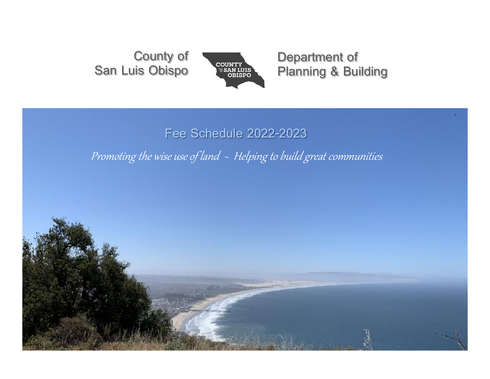**County of San Luis Obispo**



**Department of Planning & Building**

# **Fee Schedule 2022-2023**

Promoting the wise use of land  $\sim$  Helping to build great communities

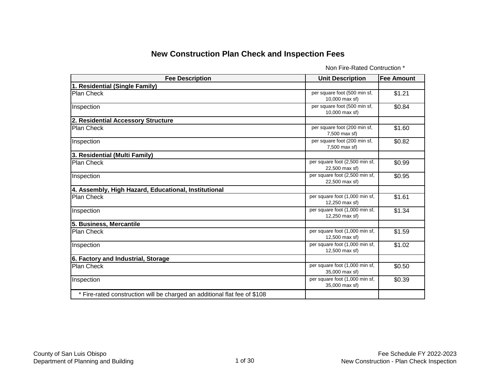### **New Construction Plan Check and Inspection Fees**

Non Fire-Rated Contruction \*

| <b>Fee Description</b>                                                    | <b>Unit Description</b>                          | <b>Fee Amount</b> |
|---------------------------------------------------------------------------|--------------------------------------------------|-------------------|
| 1. Residential (Single Family)                                            |                                                  |                   |
| Plan Check                                                                | per square foot (500 min sf,<br>10,000 max sf)   | \$1.21            |
| Inspection                                                                | per square foot (500 min sf,<br>10,000 max sf)   | \$0.84            |
| 2. Residential Accessory Structure                                        |                                                  |                   |
| <b>Plan Check</b>                                                         | per square foot (200 min sf,<br>7,500 max sf)    | \$1.60            |
| Inspection                                                                | per square foot (200 min sf,<br>7,500 max sf)    | \$0.82            |
| 3. Residential (Multi Family)                                             |                                                  |                   |
| <b>Plan Check</b>                                                         | per square foot (2,500 min sf,<br>22,500 max sf) | \$0.99            |
| Inspection                                                                | per square foot (2,500 min sf,<br>22,500 max sf) | \$0.95            |
| 4. Assembly, High Hazard, Educational, Institutional                      |                                                  |                   |
| <b>Plan Check</b>                                                         | per square foot (1,000 min sf,<br>12,250 max sf) | \$1.61            |
| Inspection                                                                | per square foot (1,000 min sf,<br>12,250 max sf) | \$1.34            |
| 5. Business, Mercantile                                                   |                                                  |                   |
| <b>Plan Check</b>                                                         | per square foot (1,000 min sf,<br>12,500 max sf) | \$1.59            |
| Inspection                                                                | per square foot (1,000 min sf,<br>12,500 max sf) | \$1.02            |
| 6. Factory and Industrial, Storage                                        |                                                  |                   |
| <b>Plan Check</b>                                                         | per square foot (1,000 min sf,<br>35,000 max sf) | \$0.50            |
| Inspection                                                                | per square foot (1,000 min sf,<br>35,000 max sf) | \$0.39            |
| * Fire-rated construction will be charged an additional flat fee of \$108 |                                                  |                   |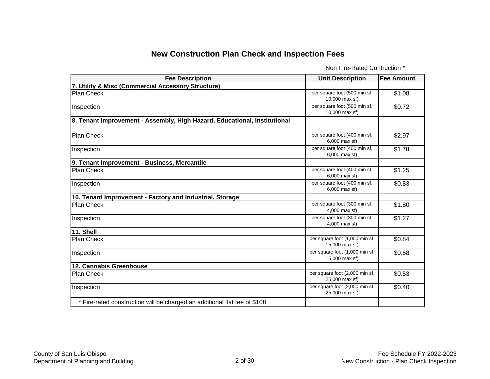### **New Construction Plan Check and Inspection Fees**

Non Fire-Rated Contruction \*

| <b>Fee Description</b>                                                    | <b>Unit Description</b>                          | <b>Fee Amount</b> |
|---------------------------------------------------------------------------|--------------------------------------------------|-------------------|
| 7. Utility & Misc (Commercial Accessory Structure)                        |                                                  |                   |
| <b>Plan Check</b>                                                         | per square foot (500 min sf,<br>10,000 max sf)   | \$1.08            |
| Inspection                                                                | per square foot (500 min sf,<br>10,000 max sf)   | \$0.72            |
| 8. Tenant Improvement - Assembly, High Hazard, Educational, Institutional |                                                  |                   |
| <b>Plan Check</b>                                                         | per square foot (400 min sf,<br>6,000 max sf)    | \$2.97            |
| Inspection                                                                | per square foot (400 min sf,<br>6,000 max sf)    | \$1.78            |
| 9. Tenant Improvement - Business, Mercantile                              |                                                  |                   |
| Plan Check                                                                | per square foot (400 min sf,<br>6,000 max sf)    | \$1.25            |
| Inspection                                                                | per square foot (400 min sf,<br>6,000 max sf)    | \$0.83            |
| 10. Tenant Improvement - Factory and Industrial, Storage                  |                                                  |                   |
| <b>Plan Check</b>                                                         | per square foot (300 min sf,<br>4,000 max sf)    | \$1.80            |
| Inspection                                                                | per square foot (300 min sf,<br>4,000 max sf)    | \$1.27            |
| 11. Shell                                                                 |                                                  |                   |
| <b>Plan Check</b>                                                         | per square foot (1,000 min sf,<br>15,000 max sf) | \$0.84            |
| Inspection                                                                | per square foot (1,000 min sf,<br>15,000 max sf) | \$0.68            |
| 12. Cannabis Greenhouse                                                   |                                                  |                   |
| Plan Check                                                                | per square foot (2,000 min sf,<br>25,000 max sf) | \$0.53            |
| Inspection                                                                | per square foot (2,000 min sf,<br>25,000 max sf) | \$0.40            |
| * Fire-rated construction will be charged an additional flat fee of \$108 |                                                  |                   |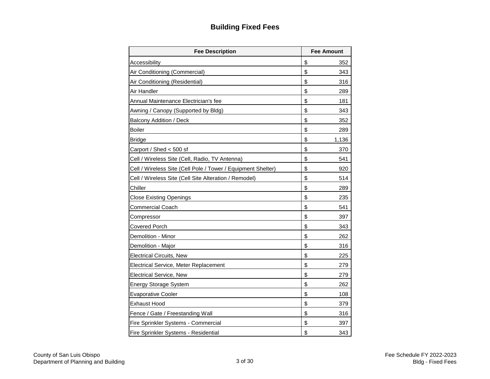## **Building Fixed Fees**

| <b>Fee Description</b>                                       | <b>Fee Amount</b> |
|--------------------------------------------------------------|-------------------|
| Accessibility                                                | \$<br>352         |
| Air Conditioning (Commercial)                                | \$<br>343         |
| Air Conditioning (Residential)                               | \$<br>316         |
| Air Handler                                                  | \$<br>289         |
| Annual Maintenance Electrician's fee                         | \$<br>181         |
| Awning / Canopy (Supported by Bldg)                          | \$<br>343         |
| <b>Balcony Addition / Deck</b>                               | \$<br>352         |
| Boiler                                                       | \$<br>289         |
| <b>Bridge</b>                                                | \$<br>1,136       |
| Carport / Shed < 500 sf                                      | \$<br>370         |
| Cell / Wireless Site (Cell, Radio, TV Antenna)               | \$<br>541         |
| Cell / Wireless Site (Cell Pole / Tower / Equipment Shelter) | \$<br>920         |
| Cell / Wireless Site (Cell Site Alteration / Remodel)        | \$<br>514         |
| Chiller                                                      | \$<br>289         |
| <b>Close Existing Openings</b>                               | \$<br>235         |
| <b>Commercial Coach</b>                                      | \$<br>541         |
| Compressor                                                   | \$<br>397         |
| <b>Covered Porch</b>                                         | \$<br>343         |
| Demolition - Minor                                           | \$<br>262         |
| Demolition - Major                                           | \$<br>316         |
| <b>Electrical Circuits, New</b>                              | \$<br>225         |
| Electrical Service, Meter Replacement                        | \$<br>279         |
| <b>Electrical Service, New</b>                               | \$<br>279         |
| <b>Energy Storage System</b>                                 | \$<br>262         |
| <b>Evaporative Cooler</b>                                    | \$<br>108         |
| <b>Exhaust Hood</b>                                          | \$<br>379         |
| Fence / Gate / Freestanding Wall                             | \$<br>316         |
| Fire Sprinkler Systems - Commercial                          | \$<br>397         |
| Fire Sprinkler Systems - Residential                         | \$<br>343         |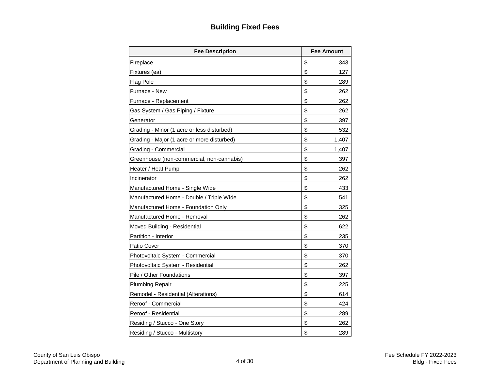## **Building Fixed Fees**

| <b>Fee Description</b>                     | <b>Fee Amount</b> |
|--------------------------------------------|-------------------|
| Fireplace                                  | \$<br>343         |
| Fixtures (ea)                              | \$<br>127         |
| <b>Flag Pole</b>                           | \$<br>289.        |
| Furnace - New                              | \$<br>262         |
| Furnace - Replacement                      | \$<br>262         |
| Gas System / Gas Piping / Fixture          | \$<br>262         |
| Generator                                  | \$<br>397         |
| Grading - Minor (1 acre or less disturbed) | \$<br>532         |
| Grading - Major (1 acre or more disturbed) | \$<br>1,407       |
| Grading - Commercial                       | \$<br>1,407       |
| Greenhouse (non-commercial, non-cannabis)  | \$<br>397         |
| Heater / Heat Pump                         | \$<br>262         |
| Incinerator                                | \$<br>262         |
| Manufactured Home - Single Wide            | \$<br>433         |
| Manufactured Home - Double / Triple Wide   | \$<br>541         |
| Manufactured Home - Foundation Only        | \$<br>325         |
| Manufactured Home - Removal                | \$<br>262         |
| Moved Building - Residential               | \$<br>622         |
| Partition - Interior                       | \$<br>235         |
| Patio Cover                                | \$<br>370         |
| Photovoltaic System - Commercial           | \$<br>370         |
| Photovoltaic System - Residential          | \$<br>262         |
| Pile / Other Foundations                   | \$<br>397         |
| <b>Plumbing Repair</b>                     | \$<br>225         |
| Remodel - Residential (Alterations)        | \$<br>614         |
| Reroof - Commercial                        | \$<br>424         |
| Reroof - Residential                       | \$<br>289         |
| Residing / Stucco - One Story              | \$<br>262         |
| Residing / Stucco - Multistory             | \$<br>289         |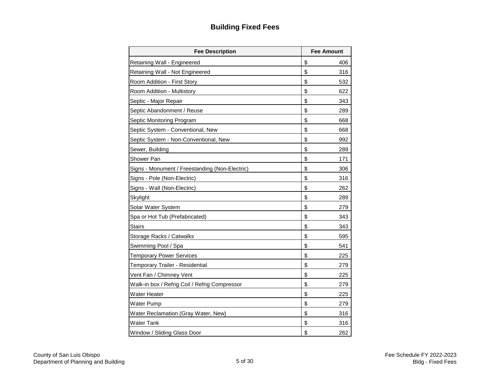## **Building Fixed Fees**

| <b>Fee Description</b>                         | <b>Fee Amount</b> |  |  |
|------------------------------------------------|-------------------|--|--|
| Retaining Wall - Engineered                    | \$<br>406         |  |  |
| Retaining Wall - Not Engineered                | \$<br>316         |  |  |
| Room Addition - First Story                    | \$<br>532         |  |  |
| Room Addition - Multistory                     | \$<br>622         |  |  |
| Septic - Major Repair                          | \$<br>343         |  |  |
| Septic Abandonment / Reuse                     | \$<br>289         |  |  |
| Septic Monitoring Program                      | \$<br>668         |  |  |
| Septic System - Conventional, New              | \$<br>668         |  |  |
| Septic System - Non-Conventional, New          | \$<br>992         |  |  |
| Sewer, Building                                | \$<br>289         |  |  |
| Shower Pan                                     | \$<br>171         |  |  |
| Signs - Monument / Freestanding (Non-Electric) | \$<br>306         |  |  |
| Signs - Pole (Non-Electric)                    | \$<br>316         |  |  |
| Signs - Wall (Non-Electric)                    | \$<br>262         |  |  |
| Skylight                                       | \$<br>289         |  |  |
| Solar Water System                             | \$<br>279         |  |  |
| Spa or Hot Tub (Prefabricated)                 | \$<br>343         |  |  |
| <b>Stairs</b>                                  | \$<br>343         |  |  |
| Storage Racks / Catwalks                       | \$<br>595         |  |  |
| Swimming Pool / Spa                            | \$<br>541         |  |  |
| <b>Temporary Power Services</b>                | \$<br>225         |  |  |
| Temporary Trailer - Residential                | \$<br>279         |  |  |
| Vent Fan / Chimney Vent                        | \$<br>225         |  |  |
| Walk-in box / Refrig Coil / Refrig Compressor  | \$<br>279         |  |  |
| Water Heater                                   | \$<br>225         |  |  |
| <b>Water Pump</b>                              | \$<br>279         |  |  |
| Water Reclamation (Gray Water, New)            | \$<br>316         |  |  |
| Water Tank                                     | \$<br>316         |  |  |
| Window / Sliding Glass Door                    | \$<br>262         |  |  |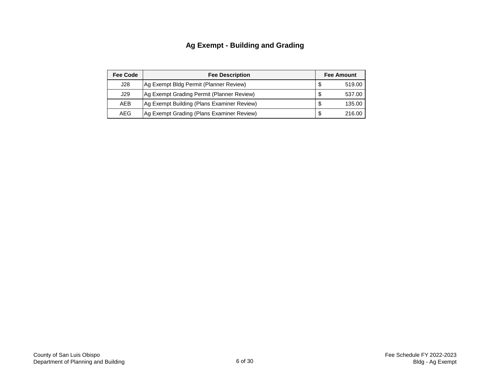## **Ag Exempt - Building and Grading**

| <b>Fee Code</b> | <b>Fee Description</b>                     | <b>Fee Amount</b> |        |  |  |
|-----------------|--------------------------------------------|-------------------|--------|--|--|
| J28             | Ag Exempt Bldg Permit (Planner Review)     | - \$              | 519.00 |  |  |
| J29             | Ag Exempt Grading Permit (Planner Review)  | S                 | 537.00 |  |  |
| <b>AEB</b>      | Ag Exempt Building (Plans Examiner Review) | S                 | 135.00 |  |  |
| AEG             | Ag Exempt Grading (Plans Examiner Review)  | S                 | 216.00 |  |  |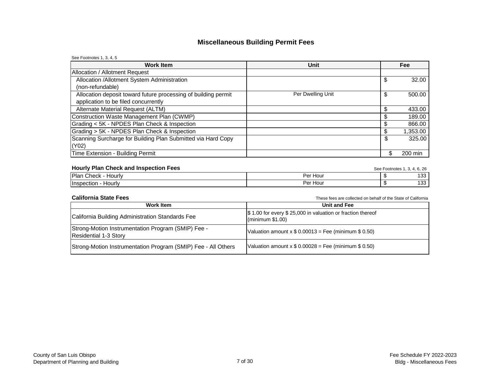### **Miscellaneous Building Permit Fees**

| See Footnotes 1, 3, 4, 5                                       |                   |               |
|----------------------------------------------------------------|-------------------|---------------|
| <b>Work Item</b>                                               | <b>Unit</b>       | Fee           |
| <b>Allocation / Allotment Request</b>                          |                   |               |
| Allocation /Allotment System Administration                    |                   | \$<br>32.00   |
| (non-refundable)                                               |                   |               |
| Allocation deposit toward future processing of building permit | Per Dwelling Unit | \$<br>500.00  |
| application to be filed concurrently                           |                   |               |
| Alternate Material Request (ALTM)                              |                   | 433.00        |
| Construction Waste Management Plan (CWMP)                      |                   | 189.00        |
| Grading < 5K - NPDES Plan Check & Inspection                   |                   | 866.00        |
| Grading > 5K - NPDES Plan Check & Inspection                   |                   | 1,353.00      |
| Scanning Surcharge for Building Plan Submitted via Hard Copy   |                   | \$<br>325.00  |
| (Y02)                                                          |                   |               |
| Time Extension - Building Permit                               |                   | \$<br>200 min |

#### **Hourly Plan Check and Inspection Fees** See Footnotes 1, 3, 4, 6, 26

| __<br>___<br>_____<br>____                           |                       |            |
|------------------------------------------------------|-----------------------|------------|
| <b>Plan</b><br>$\sim$ hook<br>Hourly<br><b>UNGUN</b> | Der F<br>: Hour<br>ы. | .<br>1 U U |
| – Ilnsr<br>Hourly<br>зно.                            | Per Hour              | 100<br>ט ו |

#### **California State Fees**

These fees are collected on behalf of the State of California

| Work Item                                                                   | Unit and Fee                                                                                 |
|-----------------------------------------------------------------------------|----------------------------------------------------------------------------------------------|
| California Building Administration Standards Fee                            | \$1.00 for every \$25,000 in valuation or fraction thereof<br>$\frac{1}{2}$ (minimum \$1.00) |
| Strong-Motion Instrumentation Program (SMIP) Fee -<br>Residential 1-3 Story | Valuation amount $x $ 0.00013 = \text{Fee (minimum $ 0.50)}$                                 |
| Strong-Motion Instrumentation Program (SMIP) Fee - All Others               | Valuation amount $x $ 0.00028$ = Fee (minimum \$ 0.50)                                       |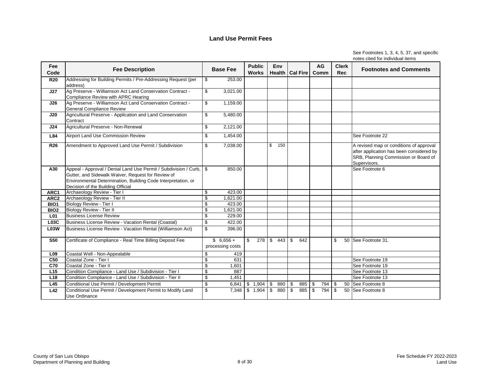| See Footnotes 1, 3, 4, 5, 37, and specific |
|--------------------------------------------|
| notes cited for individual items           |

| Fee<br>Code      | <b>Fee Description</b>                                                                                                                                                                                                       |                           | <b>Base Fee</b>                | <b>Public</b><br><b>Works</b> |                         | Env |                         | Health   Cal Fire |               | <b>AG</b><br>Comm |                | <b>Clerk</b><br><b>Rec</b> | <b>Footnotes and Comments</b>                                                                                                               |
|------------------|------------------------------------------------------------------------------------------------------------------------------------------------------------------------------------------------------------------------------|---------------------------|--------------------------------|-------------------------------|-------------------------|-----|-------------------------|-------------------|---------------|-------------------|----------------|----------------------------|---------------------------------------------------------------------------------------------------------------------------------------------|
| <b>R20</b>       | Addressing for Building Permits / Pre-Addressing Request (per<br>address)                                                                                                                                                    | $\mathfrak{S}$            | 253.00                         |                               |                         |     |                         |                   |               |                   |                |                            |                                                                                                                                             |
| J27              | Ag Preserve - Williamson Act Land Conservation Contract -<br>Compliance Review with APRC Hearing                                                                                                                             | $\mathfrak{L}$            | 3,021.00                       |                               |                         |     |                         |                   |               |                   |                |                            |                                                                                                                                             |
| J26              | Ag Preserve - Williamson Act Land Conservation Contract -<br><b>General Compliance Review</b>                                                                                                                                | $\boldsymbol{\mathsf{S}}$ | 1,159.00                       |                               |                         |     |                         |                   |               |                   |                |                            |                                                                                                                                             |
| J20              | Agricultural Preserve - Application and Land Conservation<br>Contract                                                                                                                                                        | \$                        | 5,480.00                       |                               |                         |     |                         |                   |               |                   |                |                            |                                                                                                                                             |
| J24              | Agricultural Preserve - Non-Renewal                                                                                                                                                                                          | \$                        | 2,121.00                       |                               |                         |     |                         |                   |               |                   |                |                            |                                                                                                                                             |
| L84              | Airport Land Use Commission Review                                                                                                                                                                                           | \$                        | 1,454.00                       |                               |                         |     |                         |                   |               |                   |                |                            | See Footnote 22                                                                                                                             |
| <b>R26</b>       | Amendment to Approved Land Use Permit / Subdivision                                                                                                                                                                          | \$                        | 7,038.00                       |                               | \$                      | 150 |                         |                   |               |                   |                |                            | A revised map or conditions of approval<br>after application has been considered by<br>SRB, Planning Commission or Board of<br>Supervisors. |
| A30              | Appeal - Approval / Denial Land Use Permit / Subdivision / Curb,<br>Gutter, and Sidewalk Waiver, Request for Review of<br>Environmental Determination, Building Code Interpretation, or<br>Decision of the Building Official | \$                        | 850.00                         |                               |                         |     |                         |                   |               |                   |                |                            | See Footnote 6                                                                                                                              |
| ARC1             | Archaeology Review - Tier I                                                                                                                                                                                                  | \$                        | 423.00                         |                               |                         |     |                         |                   |               |                   |                |                            |                                                                                                                                             |
| AR <sub>C2</sub> | Archaeology Review - Tier II                                                                                                                                                                                                 | $\mathfrak{S}$            | 1,621.00                       |                               |                         |     |                         |                   |               |                   |                |                            |                                                                                                                                             |
| BIO <sub>1</sub> | Biology Review - Tier I                                                                                                                                                                                                      | $\overline{\mathcal{S}}$  | 423.00                         |                               |                         |     |                         |                   |               |                   |                |                            |                                                                                                                                             |
| BIO <sub>2</sub> | <b>Biology Review - Tier II</b>                                                                                                                                                                                              | \$                        | 1,621.00                       |                               |                         |     |                         |                   |               |                   |                |                            |                                                                                                                                             |
| L <sub>01</sub>  | <b>Business License Review</b>                                                                                                                                                                                               | \$                        | 229.00                         |                               |                         |     |                         |                   |               |                   |                |                            |                                                                                                                                             |
| <b>L03C</b>      | Business License Review - Vacation Rental (Coastal)                                                                                                                                                                          | \$                        | 422.00                         |                               |                         |     |                         |                   |               |                   |                |                            |                                                                                                                                             |
| <b>L03W</b>      | Business License Review - Vacation Rental (Williamson Act)                                                                                                                                                                   | $\boldsymbol{\mathsf{S}}$ | 396.00                         |                               |                         |     |                         |                   |               |                   |                |                            |                                                                                                                                             |
| <b>S50</b>       | Certificate of Compliance - Real Time Billing Deposit Fee                                                                                                                                                                    |                           | $$6,656 +$<br>processing costs | \$<br>$278$ \ \$ 443          |                         |     | $\sqrt{3}$              | 642               |               |                   | \$             |                            | 50 See Footnote 31.                                                                                                                         |
| L <sub>09</sub>  | Coastal Well - Non-Appealable                                                                                                                                                                                                | \$                        | 419                            |                               |                         |     |                         |                   |               |                   |                |                            |                                                                                                                                             |
| C <sub>50</sub>  | Coastal Zone - Tier I                                                                                                                                                                                                        | \$                        | 631                            |                               |                         |     |                         |                   |               |                   |                |                            | See Footnote 19                                                                                                                             |
| <b>C70</b>       | Coastal Zone - Tier II                                                                                                                                                                                                       | \$                        | 1,601                          |                               |                         |     |                         |                   |               |                   |                |                            | See Footnote 19                                                                                                                             |
| L15              | Condition Compliance - Land Use / Subdivision - Tier I                                                                                                                                                                       | $\mathfrak{S}$            | 887                            |                               |                         |     |                         |                   |               |                   |                |                            | See Footnote 13                                                                                                                             |
| L18              | Condition Compliance - Land Use / Subdivision - Tier II                                                                                                                                                                      | $\overline{\mathbf{S}}$   | 1,451                          |                               |                         |     |                         |                   |               |                   |                |                            | See Footnote 13                                                                                                                             |
| L45              | Conditional Use Permit / Development Permit                                                                                                                                                                                  | $\boldsymbol{\mathsf{S}}$ |                                | $6,841$ \$ 1,904              | $\mathfrak{S}$          | 880 | $\sqrt[6]{\frac{1}{2}}$ | 885               | $\sqrt[6]{2}$ | 794               | $\sqrt[6]{2}$  |                            | 50 See Footnote 8                                                                                                                           |
| L42              | Conditional Use Permit / Development Permit to Modify Land<br><b>Use Ordinance</b>                                                                                                                                           | \$                        | 7,348                          | \$1,904                       | $\overline{\mathbf{S}}$ | 880 | $\sqrt[6]{3}$           | 885               | $\bullet$     | 794               | $\mathfrak{F}$ |                            | 50 See Footnote 8                                                                                                                           |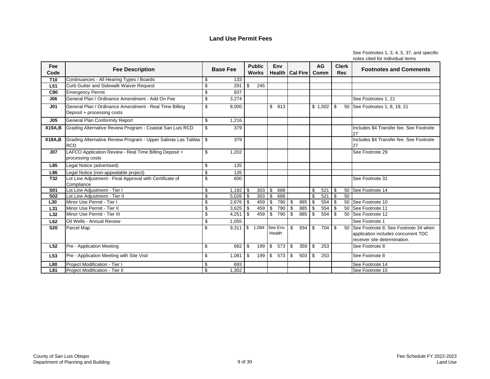| See Footnotes 1, 3, 4, 5, 37, and specific |
|--------------------------------------------|
| notes cited for individual items           |

| Fee<br>Code     | <b>Fee Description</b>                                                               |                          | <b>Base Fee</b>                 |                           | <b>Public</b><br><b>Works</b> |                         | Env               |                | Health   Cal Fire |                           | <b>AG</b><br><b>Comm</b> |                          | <b>Clerk</b><br><b>Rec</b> | <b>Footnotes and Comments</b>                                                                               |
|-----------------|--------------------------------------------------------------------------------------|--------------------------|---------------------------------|---------------------------|-------------------------------|-------------------------|-------------------|----------------|-------------------|---------------------------|--------------------------|--------------------------|----------------------------|-------------------------------------------------------------------------------------------------------------|
| <b>T10</b>      | Continuances - All Hearing Types / Boards                                            | \$                       | 133                             |                           |                               |                         |                   |                |                   |                           |                          |                          |                            |                                                                                                             |
| L <sub>51</sub> | Curb Gutter and Sidewalk Waiver Request                                              | \$                       | 291                             | \$                        | $\overline{245}$              |                         |                   |                |                   |                           |                          |                          |                            |                                                                                                             |
| C90             | <b>Emergency Permit</b>                                                              | \$                       | 837                             |                           |                               |                         |                   |                |                   |                           |                          |                          |                            |                                                                                                             |
| J06             | General Plan / Ordinance Amendment - Add On Fee                                      | $\mathfrak{S}$           | 3,274                           |                           |                               |                         |                   |                |                   |                           |                          |                          |                            | See Footnotes 1, 21                                                                                         |
| J <sub>01</sub> | General Plan / Ordinance Amendment - Real Time Billing<br>Deposit + processing costs | \$                       | 8,000                           |                           |                               | $\mathbb{S}$            | 813               |                |                   |                           | \$1,502                  | \$                       |                            | 50 See Footnotes 1, 8, 19, 21                                                                               |
| J <sub>05</sub> | <b>General Plan Conformity Report</b>                                                | \$                       | 1,216                           |                           |                               |                         |                   |                |                   |                           |                          |                          |                            |                                                                                                             |
| <b>X19A,B</b>   | Grading Alternative Review Program - Coastal San Luis RCD                            | $\mathfrak{S}$           | 379                             |                           |                               |                         |                   |                |                   |                           |                          |                          |                            | Includes \$4 Transfer fee. See Footnote<br>27                                                               |
| <b>X18A,B</b>   | Grading Alternative Review Program - Upper Salinas Las Tablas<br><b>RCD</b>          | $\mathfrak{F}$           | 379                             |                           |                               |                         |                   |                |                   |                           |                          |                          |                            | Includes \$4 Transfer fee. See Footnote<br>27                                                               |
| J <sub>07</sub> | LAFCO Application Review - Real Time Billing Deposit +<br>processing costs           | \$                       | 1,202                           |                           |                               |                         |                   |                |                   |                           |                          |                          |                            | See Footnote 29                                                                                             |
| L85             | Legal Notice (advertised)                                                            | \$                       | 135                             |                           |                               |                         |                   |                |                   |                           |                          |                          |                            |                                                                                                             |
| L86             | Legal Notice (non-appealable project)                                                | \$                       | 135                             |                           |                               |                         |                   |                |                   |                           |                          |                          |                            |                                                                                                             |
| T32             | Lot Line Adjustment - Final Approval with Certificate of<br>Compliance               | $\mathfrak{S}$           | 600                             |                           |                               |                         |                   |                |                   |                           |                          |                          |                            | See Footnote 31                                                                                             |
| <b>S01</b>      | Lot Line Adjustment - Tier I                                                         | \$                       | 1,192                           | \$                        | 303                           | $\mathfrak{S}$          | 688               |                |                   | \$                        | 521                      | \$                       |                            | 50 See Footnote 14                                                                                          |
| <b>S02</b>      | Lot Line Adjustment - Tier II                                                        | $\overline{\mathcal{S}}$ | 5,026                           | $\sqrt[6]{3}$             | 303                           | $\overline{\mathbf{s}}$ | 688               |                |                   | $\overline{\mathbb{S}}$   | 521                      | $\overline{\mathcal{S}}$ | 50                         |                                                                                                             |
| L30             | Minor Use Permit - Tier I                                                            | $\mathbb{S}$             | 2,676                           | $\boldsymbol{\mathsf{S}}$ | 459                           | $\bigoplus$             | 790               | $\frac{1}{2}$  | 885               | $\boldsymbol{\mathsf{S}}$ | 554                      | $\overline{\mathcal{S}}$ |                            | 50 See Footnote 10                                                                                          |
| L31             | Minor Use Permit - Tier II                                                           | \$                       | 3,625                           | \$                        | 459                           | $\mathfrak s$           | 790               | $\sqrt[6]{2}$  | 885               | $\mathbb{S}$              | 554                      | $\$\$                    |                            | 50 See Footnote 11                                                                                          |
| L32             | Minor Use Permit - Tier III                                                          | $\overline{\$}$          | 4,251                           | $\mathfrak{S}$            | 459                           | $\overline{\mathbf{s}}$ | 790               | $\mathfrak{S}$ | 885               | $\mathfrak{S}$            | 554                      | $\mathfrak s$            |                            | 50 See Footnote 12                                                                                          |
| L62             | Oil Wells - Annual Review                                                            | \$                       | 1,055                           |                           |                               |                         |                   |                |                   |                           |                          |                          |                            | See Footnote 1                                                                                              |
| <b>S20</b>      | Parcel Map                                                                           | \$                       | $9,311$ \ $\overline{\$}$ 1,084 |                           |                               |                         | See Env<br>Health | $\mathfrak{S}$ | 934               | \$                        | 704                      | \$                       | 50                         | See Footnote 8. See Footnote 34 when<br>application includes concurrent TDC<br>receiver site determination. |
| L52             | Pre - Application Meeting                                                            | \$                       | 682                             | \$                        | 199                           | $\mathfrak{S}$          | 573               | \$             | 359               | \$                        | 253                      |                          |                            | See Footnote 8                                                                                              |
| L <sub>53</sub> | Pre - Application Meeting with Site Visit                                            | \$                       | 1,081                           | $\boldsymbol{\mathsf{S}}$ | $199$ \ \$                    |                         | 573               | $\sqrt{3}$     | 503               | $\boldsymbol{\mathsf{S}}$ | 253                      |                          |                            | See Footnote 8                                                                                              |
| L80             | Project Modification - Tier I                                                        | \$                       | 693                             |                           |                               |                         |                   |                |                   |                           |                          |                          |                            | See Footnote 14                                                                                             |
| L81             | Project Modification - Tier II                                                       | $\$\$                    | 1,302                           |                           |                               |                         |                   |                |                   |                           |                          |                          |                            | See Footnote 15                                                                                             |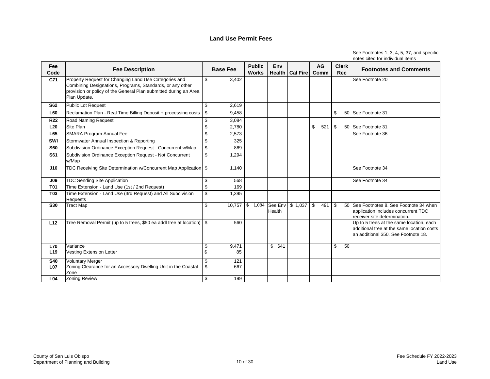| Fee<br>Code     | <b>Fee Description</b>                                                                                                                                                                                 |                           | <b>Base Fee</b> | <b>Public</b><br><b>Works</b> | Env                 | Health   Cal Fire                      |            | <b>AG</b><br>Comm |                           | <b>Clerk</b><br><b>Rec</b> | <b>Footnotes and Comments</b>                                                                                                  |
|-----------------|--------------------------------------------------------------------------------------------------------------------------------------------------------------------------------------------------------|---------------------------|-----------------|-------------------------------|---------------------|----------------------------------------|------------|-------------------|---------------------------|----------------------------|--------------------------------------------------------------------------------------------------------------------------------|
| C71             | Property Request for Changing Land Use Categories and<br>Combining Designations, Programs, Standards, or any other<br>provision or policy of the General Plan submitted during an Area<br>Plan Update. | $\mathfrak{S}$            | 3,402           |                               |                     |                                        |            |                   |                           |                            | See Footnote 20                                                                                                                |
| <b>S62</b>      | Public Lot Request                                                                                                                                                                                     | $\boldsymbol{\mathsf{S}}$ | 2,619           |                               |                     |                                        |            |                   |                           |                            |                                                                                                                                |
| <b>L60</b>      | Reclamation Plan - Real Time Billing Deposit + processing costs                                                                                                                                        | $\sqrt[6]{3}$             | 9,458           |                               |                     |                                        |            |                   | $\mathfrak{S}$            |                            | 50 See Footnote 31                                                                                                             |
| <b>R22</b>      | <b>Road Naming Request</b>                                                                                                                                                                             | \$                        | 3,084           |                               |                     |                                        |            |                   |                           |                            |                                                                                                                                |
| L20             | Site Plan                                                                                                                                                                                              | $\overline{\mathbf{S}}$   | 2,780           |                               |                     |                                        | \$         | 521               | $\frac{1}{2}$             |                            | 50 See Footnote 31                                                                                                             |
| L65             | <b>SMARA Program Annual Fee</b>                                                                                                                                                                        | \$                        | 2,573           |                               |                     |                                        |            |                   |                           |                            | See Footnote 36                                                                                                                |
| SWI             | Stormwater Annual Inspection & Reporting                                                                                                                                                               | \$                        | 325             |                               |                     |                                        |            |                   |                           |                            |                                                                                                                                |
| <b>S60</b>      | Subdivision Ordinance Exception Request - Concurrent w/Map                                                                                                                                             | $\sqrt[6]{\frac{1}{2}}$   | 869             |                               |                     |                                        |            |                   |                           |                            |                                                                                                                                |
| <b>S61</b>      | Subdivision Ordinance Exception Request - Not Concurrent<br>w/Map                                                                                                                                      | $\boldsymbol{\mathsf{S}}$ | 1,294           |                               |                     |                                        |            |                   |                           |                            |                                                                                                                                |
| J10             | TDC Receiving Site Determination w/Concurrent Map Application   \$                                                                                                                                     |                           | 1,140           |                               |                     |                                        |            |                   |                           |                            | See Footnote 34                                                                                                                |
| J <sub>09</sub> | <b>TDC Sending Site Application</b>                                                                                                                                                                    | \$                        | 568             |                               |                     |                                        |            |                   |                           |                            | See Footnote 34                                                                                                                |
| <b>T01</b>      | Time Extension - Land Use (1st / 2nd Request)                                                                                                                                                          | $\boldsymbol{\mathsf{S}}$ | 169             |                               |                     |                                        |            |                   |                           |                            |                                                                                                                                |
| <b>T03</b>      | Time Extension - Land Use (3rd Request) and All Subdivision<br><b>Requests</b>                                                                                                                         | $\overline{\mathbf{e}}$   | 1,395           |                               |                     |                                        |            |                   |                           |                            |                                                                                                                                |
| <b>S30</b>      | <b>Tract Map</b>                                                                                                                                                                                       | \$                        |                 |                               | <b>Health</b>       | 10,757   \$ 1,084   See Env   \$ 1,037 | $\sqrt{3}$ | 491               | $\boldsymbol{\mathsf{S}}$ |                            | 50 See Footnotes 8, See Footnote 34 when<br>application includes concurrent TDC<br>receiver site determination.                |
| L12             | Tree Removal Permit (up to 5 trees, \$50 ea addl tree at location) $\mid$ \$                                                                                                                           |                           | 560             |                               |                     |                                        |            |                   |                           |                            | Up to 5 trees at the same location, each<br>additional tree at the same location costs<br>an additional \$50. See Footnote 18. |
| <b>L70</b>      | Variance                                                                                                                                                                                               | \$                        | 9,471           |                               | $\mathbb{S}$<br>641 |                                        |            |                   | $\mathfrak{L}$            | 50                         |                                                                                                                                |
| L <sub>19</sub> | <b>Vesting Extension Letter</b>                                                                                                                                                                        | $\overline{\mathcal{S}}$  | 85              |                               |                     |                                        |            |                   |                           |                            |                                                                                                                                |
| <b>S40</b>      | <b>Voluntary Merger</b>                                                                                                                                                                                | $\sqrt[6]{\frac{1}{2}}$   | 121             |                               |                     |                                        |            |                   |                           |                            |                                                                                                                                |
| L <sub>07</sub> | Zoning Clearance for an Accessory Dwelling Unit in the Coastal<br>Zone                                                                                                                                 | $\overline{\mathcal{S}}$  | 667             |                               |                     |                                        |            |                   |                           |                            |                                                                                                                                |
| L <sub>04</sub> | <b>Zoning Review</b>                                                                                                                                                                                   | $\overline{\mathbf{3}}$   | 199             |                               |                     |                                        |            |                   |                           |                            |                                                                                                                                |

See Footnotes 1, 3, 4, 5, 37, and specific notes cited for individual items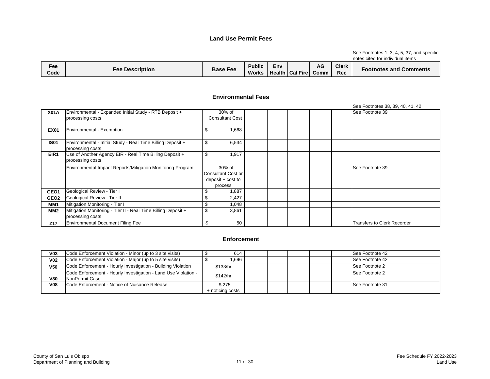#### See Footnotes 1, 3, 4, 5, 37, and specific notes cited for individual items

| Fee<br>Code | <b>Fee Description</b> | <b>Base Fee</b> | Public<br><b>Works</b> | Env<br>Health | Cal Fire | AG<br>Comm | <b>Clerk</b><br>Rec | <b>Comments</b><br>-ootnotes and |
|-------------|------------------------|-----------------|------------------------|---------------|----------|------------|---------------------|----------------------------------|

#### **Environmental Fees**

|                  |                                                               |                           |  |  | See Footnotes 38, 39, 40, 41, 42   |
|------------------|---------------------------------------------------------------|---------------------------|--|--|------------------------------------|
| <b>X01A</b>      | Environmental - Expanded Initial Study - RTB Deposit +        | 30% of                    |  |  | See Footnote 39                    |
|                  | processing costs                                              | <b>Consultant Cost</b>    |  |  |                                    |
|                  |                                                               |                           |  |  |                                    |
| <b>EX01</b>      | Environmental - Exemption                                     | 1,668<br>ъ                |  |  |                                    |
|                  |                                                               |                           |  |  |                                    |
| <b>IS01</b>      | Environmental - Initial Study - Real Time Billing Deposit +   | \$<br>6,534               |  |  |                                    |
|                  | processing costs                                              |                           |  |  |                                    |
| EIR1             | Use of Another Agency EIR - Real Time Billing Deposit +       | 1,917<br>\$               |  |  |                                    |
|                  | processing costs                                              |                           |  |  |                                    |
|                  | Environmental Impact Reports/Mitigation Monitoring Program    | 30% of                    |  |  | See Footnote 39                    |
|                  |                                                               | <b>Consultant Cost or</b> |  |  |                                    |
|                  |                                                               | deposit + cost to         |  |  |                                    |
|                  |                                                               | process                   |  |  |                                    |
| GEO1             | Geological Review - Tier I                                    | 1,887                     |  |  |                                    |
| GEO <sub>2</sub> | Geological Review - Tier II                                   | 2,427                     |  |  |                                    |
| MM1              | Mitigation Monitoring - Tier I                                | \$<br>1,048               |  |  |                                    |
| MM <sub>2</sub>  | Mitigation Monitoring - Tier II - Real Time Billing Deposit + | \$<br>3,861               |  |  |                                    |
|                  | processing costs                                              |                           |  |  |                                    |
| Z17              | <b>Environmental Document Filing Fee</b>                      | \$<br>50                  |  |  | <b>Transfers to Clerk Recorder</b> |

#### **Enforcement**

| V <sub>03</sub> | Code Enforcement Violation - Minor (up to 3 site visits)                         | 614                       |  |  | See Footnote 42        |
|-----------------|----------------------------------------------------------------------------------|---------------------------|--|--|------------------------|
| V <sub>02</sub> | Code Enforcement Violation - Major (up to 5 site visits)                         | 1,696                     |  |  | See Footnote 42        |
| V <sub>50</sub> | Code Enforcement - Hourly Investigation - Building Violation                     | \$133/hr                  |  |  | See Footnote 2         |
| V30             | Code Enforcement - Hourly Investigation - Land Use Violation -<br>NonPermit Case | \$142/hr                  |  |  | See Footnote 2         |
| V <sub>08</sub> | Code Enforcement - Notice of Nuisance Release                                    | \$275<br>+ noticing costs |  |  | <b>See Footnote 31</b> |
|                 |                                                                                  |                           |  |  |                        |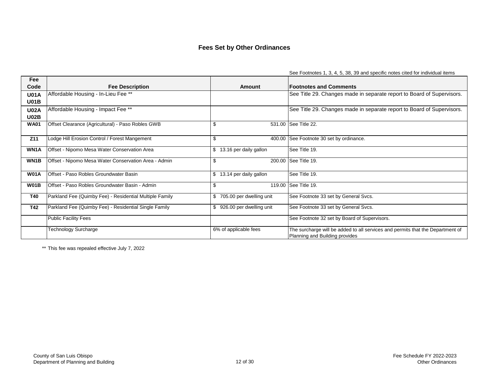## **Fees Set by Other Ordinances**

|                   |                                                         |                                | See Fourniques 1, 3, 4, 3, 30, 39 and specific holes cited for individual items |
|-------------------|---------------------------------------------------------|--------------------------------|---------------------------------------------------------------------------------|
| Fee<br>Code       | <b>Fee Description</b>                                  | Amount                         | <b>Footnotes and Comments</b>                                                   |
| <b>U01A</b>       | Affordable Housing - In-Lieu Fee **                     |                                | See Title 29. Changes made in separate report to Board of Supervisors.          |
| <b>U01B</b>       |                                                         |                                |                                                                                 |
| <b>U02A</b>       | Affordable Housing - Impact Fee **                      |                                | See Title 29. Changes made in separate report to Board of Supervisors.          |
| <b>U02B</b>       |                                                         |                                |                                                                                 |
| <b>WA01</b>       | Offset Clearance (Agricultural) - Paso Robles GWB       | \$                             | 531.00 See Title 22.                                                            |
|                   |                                                         |                                |                                                                                 |
| Z11               | Lodge Hill Erosion Control / Forest Mangement           | $\boldsymbol{\mathsf{S}}$      | 400.00 See Footnote 30 set by ordinance.                                        |
| WN1A              | Offset - Nipomo Mesa Water Conservation Area            | 13.16 per daily gallon<br>\$   | See Title 19.                                                                   |
|                   |                                                         |                                |                                                                                 |
| WN <sub>1</sub> B | Offset - Nipomo Mesa Water Conservation Area - Admin    | \$                             | 200.00 See Title 19.                                                            |
|                   |                                                         |                                |                                                                                 |
| <b>W01A</b>       | Offset - Paso Robles Groundwater Basin                  | 13.14 per daily gallon<br>\$   | See Title 19.                                                                   |
| <b>W01B</b>       | Offset - Paso Robles Groundwater Basin - Admin          | \$                             | 119.00 See Title 19.                                                            |
| <b>T40</b>        | Parkland Fee (Quimby Fee) - Residential Multiple Family | 705.00 per dwelling unit<br>\$ | See Footnote 33 set by General Svcs.                                            |
|                   |                                                         |                                |                                                                                 |
| <b>T42</b>        | Parkland Fee (Quimby Fee) - Residential Single Family   | 926.00 per dwelling unit<br>\$ | See Footnote 33 set by General Svcs.                                            |
|                   | <b>Public Facility Fees</b>                             |                                | See Footnote 32 set by Board of Supervisors.                                    |
|                   | <b>Technology Surcharge</b>                             | 6% of applicable fees          | The surcharge will be added to all services and permits that the Department of  |
|                   |                                                         |                                | Planning and Building provides                                                  |

See Footnotes 1, 3, 4, 5, 38, 39 and specific notes cited for individual items

\*\* This fee was repealed effective July 7, 2022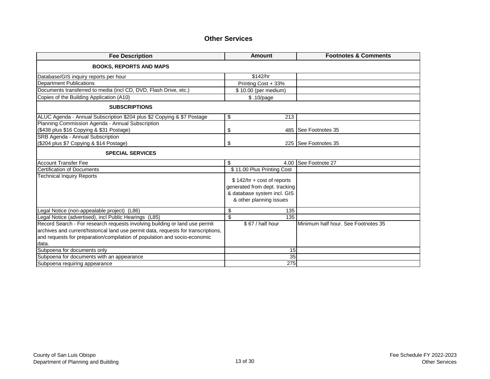#### **Other Services**

| <b>Fee Description</b>                                                                                                                                                                                                                                  | <b>Amount</b>                                                                                                           | <b>Footnotes &amp; Comments</b>     |
|---------------------------------------------------------------------------------------------------------------------------------------------------------------------------------------------------------------------------------------------------------|-------------------------------------------------------------------------------------------------------------------------|-------------------------------------|
| <b>BOOKS, REPORTS AND MAPS</b>                                                                                                                                                                                                                          |                                                                                                                         |                                     |
| Database/GIS inquiry reports per hour                                                                                                                                                                                                                   | \$142/hr                                                                                                                |                                     |
| <b>Department Publications</b>                                                                                                                                                                                                                          | Printing Cost + 33%                                                                                                     |                                     |
| Documents transferred to media (incl CD, DVD, Flash Drive, etc.)                                                                                                                                                                                        | $\overline{\$}$ 10.00 (per medium)                                                                                      |                                     |
| Copies of the Building Application (A10)                                                                                                                                                                                                                | \$.10/page                                                                                                              |                                     |
| <b>SUBSCRIPTIONS</b>                                                                                                                                                                                                                                    |                                                                                                                         |                                     |
| ALUC Agenda - Annual Subscription \$204 plus \$2 Copying & \$7 Postage                                                                                                                                                                                  | \$<br>213                                                                                                               |                                     |
| Planning Commission Agenda - Annual Subscription                                                                                                                                                                                                        |                                                                                                                         |                                     |
| (\$438 plus \$16 Copying & \$31 Postage)                                                                                                                                                                                                                | \$                                                                                                                      | 485 See Footnotes 35                |
| SRB Agenda - Annual Subscription                                                                                                                                                                                                                        |                                                                                                                         |                                     |
| (\$204 plus \$7 Copying & \$14 Postage)                                                                                                                                                                                                                 | \$                                                                                                                      | 225   See Footnotes 35              |
| <b>SPECIAL SERVICES</b>                                                                                                                                                                                                                                 |                                                                                                                         |                                     |
| <b>Account Transfer Fee</b>                                                                                                                                                                                                                             | \$<br>4.00                                                                                                              | See Footnote 27                     |
| <b>Certification of Documents</b>                                                                                                                                                                                                                       | \$11.00 Plus Printing Cost                                                                                              |                                     |
| <b>Technical Inquiry Reports</b>                                                                                                                                                                                                                        | $$ 142/hr + cost of reports$<br>generated from dept. tracking<br>& database system incl. GIS<br>& other planning issues |                                     |
| Legal Notice (non-appealable project) (L86)                                                                                                                                                                                                             | \$<br>135                                                                                                               |                                     |
| Legal Notice (advertised), incl Public Hearings (L85)                                                                                                                                                                                                   | \$<br>135                                                                                                               |                                     |
| Record Search - For research requests involving building or land use permit<br>archives and current/historical land use permit data, requests for transcriptions,<br>and requests for preparation/compilation of population and socio-economic<br>data. | \$67 / half hour                                                                                                        | Minimum half hour. See Footnotes 35 |
| Subpoena for documents only                                                                                                                                                                                                                             | 15                                                                                                                      |                                     |
| Subpoena for documents with an appearance                                                                                                                                                                                                               | 35                                                                                                                      |                                     |
| Subpoena requiring appearance                                                                                                                                                                                                                           | 275                                                                                                                     |                                     |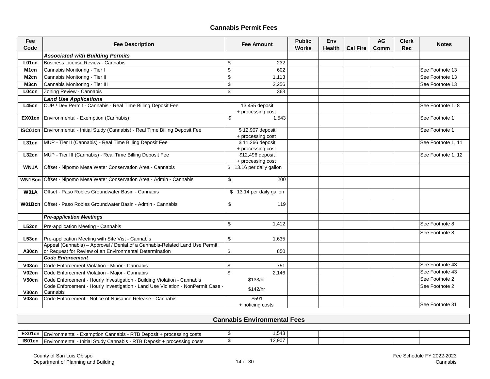### **Cannabis Permit Fees**

| Fee<br>Code        | <b>Fee Description</b>                                                                                                                         |                           | <b>Fee Amount</b>                     | <b>Public</b><br><b>Works</b> | Env<br><b>Health</b> | <b>Cal Fire</b> | <b>AG</b><br>Comm | <b>Clerk</b><br><b>Rec</b> | <b>Notes</b>       |
|--------------------|------------------------------------------------------------------------------------------------------------------------------------------------|---------------------------|---------------------------------------|-------------------------------|----------------------|-----------------|-------------------|----------------------------|--------------------|
|                    | <b>Associated with Building Permits</b>                                                                                                        |                           |                                       |                               |                      |                 |                   |                            |                    |
| L01cn              | Business License Review - Cannabis                                                                                                             | \$                        | 232                                   |                               |                      |                 |                   |                            |                    |
| M <sub>1</sub> cn  | Cannabis Monitoring - Tier I                                                                                                                   | \$                        | 602                                   |                               |                      |                 |                   |                            | See Footnote 13    |
| M <sub>2cn</sub>   | Cannabis Monitoring - Tier II                                                                                                                  | \$                        | 1,113                                 |                               |                      |                 |                   |                            | See Footnote 13    |
| M3cn               | Cannabis Monitoring - Tier III                                                                                                                 | \$                        | 2,256                                 |                               |                      |                 |                   |                            | See Footnote 13    |
| L04cn              | Zoning Review - Cannabis                                                                                                                       | \$                        | 363                                   |                               |                      |                 |                   |                            |                    |
|                    | <b>Land Use Applications</b>                                                                                                                   |                           |                                       |                               |                      |                 |                   |                            |                    |
| L45 <sub>cn</sub>  | CUP / Dev Permit - Cannabis - Real Time Billing Deposit Fee                                                                                    |                           | 13,455 deposit<br>+ processing cost   |                               |                      |                 |                   |                            | See Footnote 1, 8  |
|                    | EX01cn   Environmental - Exemption (Cannabis)                                                                                                  | \$                        | 1,543                                 |                               |                      |                 |                   |                            | See Footnote 1     |
|                    | <b>ISC01cn</b> Environmental - Initial Study (Cannabis) - Real Time Billing Deposit Fee                                                        |                           | \$12,907 deposit<br>+ processing cost |                               |                      |                 |                   |                            | See Footnote 1     |
| L31cn              | MUP - Tier II (Cannabis) - Real Time Billing Deposit Fee                                                                                       |                           | \$11,266 deposit<br>+ processing cost |                               |                      |                 |                   |                            | See Footnote 1, 11 |
| L32cn              | MUP - Tier III (Cannabis) - Real Time Billing Deposit Fee                                                                                      |                           | \$12,496 deposit<br>+ processing cost |                               |                      |                 |                   |                            | See Footnote 1, 12 |
| WN1A               | Offset - Nipomo Mesa Water Conservation Area - Cannabis                                                                                        |                           | \$13.16 per daily gallon              |                               |                      |                 |                   |                            |                    |
|                    | WN1Bcn   Offset - Nipomo Mesa Water Conservation Area - Admin - Cannabis                                                                       | \$                        | 200                                   |                               |                      |                 |                   |                            |                    |
| <b>W01A</b>        | Offset - Paso Robles Groundwater Basin - Cannabis                                                                                              |                           | \$ 13.14 per daily gallon             |                               |                      |                 |                   |                            |                    |
|                    | W01Bcn   Offset - Paso Robles Groundwater Basin - Admin - Cannabis                                                                             | \$                        | 119                                   |                               |                      |                 |                   |                            |                    |
|                    | <b>Pre-application Meetings</b>                                                                                                                |                           |                                       |                               |                      |                 |                   |                            |                    |
|                    | <b>L52cn</b> Pre-application Meeting - Cannabis                                                                                                | \$                        | 1,412                                 |                               |                      |                 |                   |                            | See Footnote 8     |
|                    | <b>L53cn</b>   Pre-application Meeting with Site Vist - Cannabis                                                                               | \$                        | 1,635                                 |                               |                      |                 |                   |                            | See Footnote 8     |
|                    | Appeal (Cannabis) - Approval / Denial of a Cannabis-Related Land Use Permit,<br>A30cn  or Request for Review of an Environmental Determination | \$                        | 850                                   |                               |                      |                 |                   |                            |                    |
|                    | <b>Code Enforcement</b>                                                                                                                        |                           |                                       |                               |                      |                 |                   |                            |                    |
| V <sub>03cn</sub>  | Code Enforcement Violation - Minor - Cannabis                                                                                                  | $\boldsymbol{\mathsf{S}}$ | 751                                   |                               |                      |                 |                   |                            | See Footnote 43    |
| V <sub>02</sub> cn | Code Enforcement Violation - Major - Cannabis                                                                                                  | $\mathfrak{S}$            | 2,146                                 |                               |                      |                 |                   |                            | See Footnote 43    |
| V50c <sub>n</sub>  | Code Enforcement - Hourly Investigation - Building Violation - Cannabis                                                                        |                           | \$133/hr                              |                               |                      |                 |                   |                            | See Footnote 2     |
| V30cn              | Code Enforcement - Hourly Investigation - Land Use Violation - NonPermit Case -<br>Cannabis                                                    |                           | \$142/hr                              |                               |                      |                 |                   |                            | See Footnote 2     |
| V <sub>08</sub> cn | Code Enforcement - Notice of Nuisance Release - Cannabis                                                                                       |                           | \$591<br>+ noticing costs             |                               |                      |                 |                   |                            | See Footnote 31    |

### **Cannabis Environmental Fees**

| EX01cn | . ப<br>Inment<br>cessing costs<br>™ronmenta∟<br>. nro $\sim$<br>`onr<br><b>Exem</b><br>$\sim$<br>`ption.<br>∟n<br>12018<br>$\mathbf{\mathsf{N}}$ .<br>vall'<br>.<br><b>LUGUUSIL</b> | $-10$                          |  |  |  |
|--------|-------------------------------------------------------------------------------------------------------------------------------------------------------------------------------------|--------------------------------|--|--|--|
| IS01cn | דם<br>onmentai:<br>`≏nnabis<br>+ processing<br>। costs<br>⊦ Deposit ⊦<br><br><b>Study</b><br>Initi.<br>En١<br><b>NID</b><br>.771                                                    | $\lambda$ $\sim$ $\sim$ $\sim$ |  |  |  |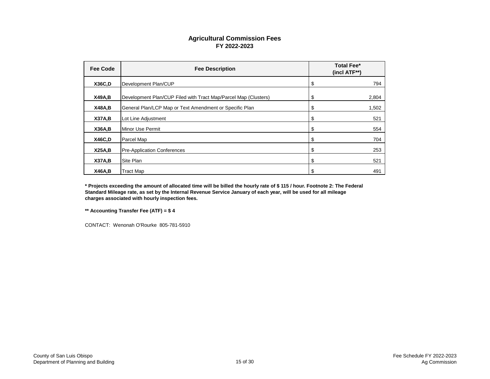### **Agricultural Commission Fees FY 2022-2023**

| <b>Fee Code</b> | <b>Fee Description</b>                                          | <b>Total Fee*</b><br>(incl ATF**) |
|-----------------|-----------------------------------------------------------------|-----------------------------------|
| <b>X36C,D</b>   | Development Plan/CUP                                            | \$<br>794                         |
| <b>X49A,B</b>   | Development Plan/CUP Filed with Tract Map/Parcel Map (Clusters) | \$<br>2,804                       |
| <b>X48A,B</b>   | General Plan/LCP Map or Text Amendment or Specific Plan         | \$<br>1,502                       |
| <b>X37A,B</b>   | Lot Line Adjustment                                             | \$<br>521                         |
| <b>X36A,B</b>   | Minor Use Permit                                                | \$<br>554                         |
| X46C, D         | Parcel Map                                                      | \$<br>704                         |
| X25A,B          | <b>Pre-Application Conferences</b>                              | \$<br>253                         |
| <b>X37A,B</b>   | Site Plan                                                       | \$<br>521                         |
| <b>X46A,B</b>   | <b>Tract Map</b>                                                | \$<br>491                         |

**\* Projects exceeding the amount of allocated time will be billed the hourly rate of \$ 115 / hour. Footnote 2: The Federal Standard Mileage rate, as set by the Internal Revenue Service January of each year, will be used for all mileage charges associated with hourly inspection fees.**

**\*\* Accounting Transfer Fee (ATF) = \$ 4**

CONTACT: Wenonah O'Rourke 805-781-5910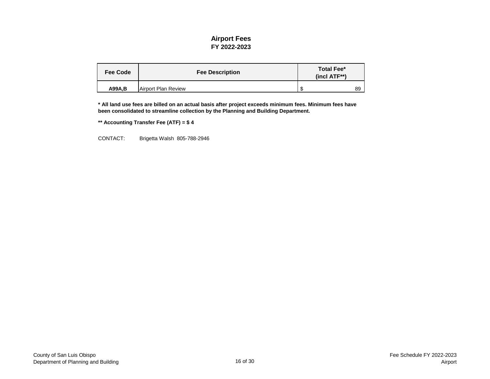#### **Airport Fees FY 2022-2023**

| <b>Fee Code</b> | <b>Fee Description</b> | <b>Total Fee*</b><br>$(incl ATF**)$ |    |
|-----------------|------------------------|-------------------------------------|----|
| A99A, B         | Airport Plan Review    | -SS                                 | 89 |

**\* All land use fees are billed on an actual basis after project exceeds minimum fees. Minimum fees have been consolidated to streamline collection by the Planning and Building Department.**

**\*\* Accounting Transfer Fee (ATF) = \$ 4**

CONTACT: Brigetta Walsh 805-788-2946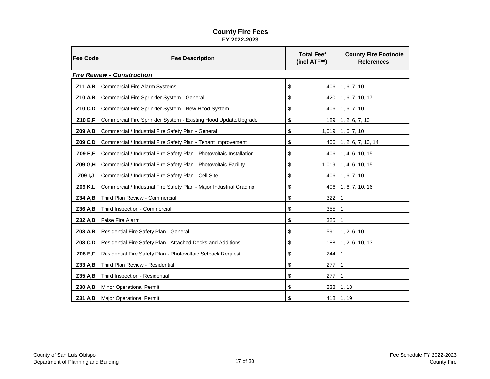#### **County Fire Fees FY 2022-2023**

| <b>Fee Code</b> | <b>Fee Description</b>                                               | <b>Total Fee*</b><br>(incl ATF**) | <b>County Fire Footnote</b><br><b>References</b> |
|-----------------|----------------------------------------------------------------------|-----------------------------------|--------------------------------------------------|
|                 | <b>Fire Review - Construction</b>                                    |                                   |                                                  |
| Z11 A,B         | <b>Commercial Fire Alarm Systems</b>                                 | \$                                | $406$   1, 6, 7, 10                              |
| Z10 A,B         | Commercial Fire Sprinkler System - General                           | \$                                | 420   1, 6, 7, 10, 17                            |
| Z10 C,D         | Commercial Fire Sprinkler System - New Hood System                   | \$                                | $406$   1, 6, 7, 10                              |
| Z10 E,F         | Commercial Fire Sprinkler System - Existing Hood Update/Upgrade      | \$                                | $189$   1, 2, 6, 7, 10                           |
| Z09 A,B         | Commercial / Industrial Fire Safety Plan - General                   | \$                                | $1,019$ 1, 6, 7, 10                              |
| Z09 C,D         | Commercial / Industrial Fire Safety Plan - Tenant Improvement        | \$                                | 406   1, 2, 6, 7, 10, 14                         |
| Z09 E,F         | Commercial / Industrial Fire Safety Plan - Photovoltaic Installation | \$                                | 406   1, 4, 6, 10, 15                            |
| Z09 G,H         | Commercial / Industrial Fire Safety Plan - Photovoltaic Facility     | \$                                | $1,019$ 1, 4, 6, 10, 15                          |
| Z09 I, J        | Commercial / Industrial Fire Safety Plan - Cell Site                 | \$                                | 406   1, 6, 7, 10                                |
| Z09 K,L         | Commercial / Industrial Fire Safety Plan - Major Industrial Grading  | \$                                | 406   1, 6, 7, 10, 16                            |
| Z34 A,B         | Third Plan Review - Commercial                                       | \$<br>322                         | -1                                               |
| Z36 A,B         | Third Inspection - Commercial                                        | \$<br>355                         |                                                  |
| Z32 A,B         | <b>False Fire Alarm</b>                                              | \$<br>325                         |                                                  |
| Z08 A,B         | Residential Fire Safety Plan - General                               | \$<br>591                         | 1, 2, 6, 10                                      |
| Z08 C,D         | Residential Fire Safety Plan - Attached Decks and Additions          | \$                                | 188   1, 2, 6, 10, 13                            |
| Z08 E,F         | Residential Fire Safety Plan - Photovoltaic Setback Request          | \$<br>244                         | 1                                                |
| Z33 A,B         | Third Plan Review - Residential                                      | \$<br>277                         |                                                  |
| Z35 A,B         | Third Inspection - Residential                                       | \$<br>277                         |                                                  |
| Z30 A,B         | <b>Minor Operational Permit</b>                                      | \$<br>238                         | 1, 18                                            |
| Z31 A,B         | Major Operational Permit                                             | \$                                | 418   1, 19                                      |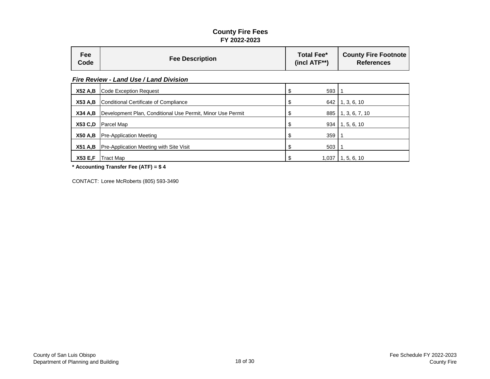#### **County Fire Fees FY 2022-2023**

| <b>Fee</b><br>Code | <b>Fee Description</b>                                     | <b>Total Fee*</b><br>$(incl ATF**)$ | <b>County Fire Footnote</b><br><b>References</b> |  |  |  |  |
|--------------------|------------------------------------------------------------|-------------------------------------|--------------------------------------------------|--|--|--|--|
|                    | <b>Fire Review - Land Use / Land Division</b>              |                                     |                                                  |  |  |  |  |
| <b>X52 A,B</b>     | <b>Code Exception Request</b>                              | 593<br>\$                           |                                                  |  |  |  |  |
| <b>X53 A,B</b>     | <b>Conditional Certificate of Compliance</b>               | 642<br>\$                           | 1, 3, 6, 10                                      |  |  |  |  |
| <b>X34 A,B</b>     | Development Plan, Conditional Use Permit, Minor Use Permit | 885<br>\$                           | 1, 3, 6, 7, 10                                   |  |  |  |  |
| <b>X53 C,D</b>     | Parcel Map                                                 | 934<br>\$                           | 1, 5, 6, 10                                      |  |  |  |  |
| <b>X50 A,B</b>     | <b>Pre-Application Meeting</b>                             | 359<br>\$                           |                                                  |  |  |  |  |
| <b>X51 A,B</b>     | <b>Pre-Application Meeting with Site Visit</b>             | \$<br>503                           |                                                  |  |  |  |  |
| <b>X53 E,F</b>     | Tract Map                                                  | \$<br>1,037                         | 1, 5, 6, 10                                      |  |  |  |  |

**\* Accounting Transfer Fee (ATF) = \$ 4**

CONTACT: Loree McRoberts (805) 593-3490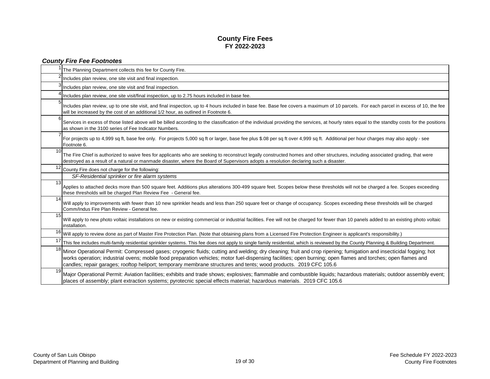#### **County Fire Fees FY 2022-2023**

|                 | <b>County Fire Fee Footnotes</b>                                                                                                                                                                                                                                                                                                                                                                                                                            |
|-----------------|-------------------------------------------------------------------------------------------------------------------------------------------------------------------------------------------------------------------------------------------------------------------------------------------------------------------------------------------------------------------------------------------------------------------------------------------------------------|
|                 | The Planning Department collects this fee for County Fire.                                                                                                                                                                                                                                                                                                                                                                                                  |
|                 | Includes plan review, one site visit and final inspection.                                                                                                                                                                                                                                                                                                                                                                                                  |
|                 | Includes plan review, one site visit and final inspection.                                                                                                                                                                                                                                                                                                                                                                                                  |
|                 | Includes plan review, one site visit/final inspection, up to 2.75 hours included in base fee.                                                                                                                                                                                                                                                                                                                                                               |
|                 | Includes plan review, up to one site visit, and final inspection, up to 4 hours included in base fee. Base fee covers a maximum of 10 parcels. For each parcel in excess of 10, the fee<br>will be increased by the cost of an additional 1/2 hour, as outlined in Footnote 6.                                                                                                                                                                              |
| 6               | Services in excess of those listed above will be billed according to the classification of the individual providing the services, at hourly rates equal to the standby costs for the positions<br>as shown in the 3100 series of Fee Indicator Numbers.                                                                                                                                                                                                     |
|                 | For projects up to 4,999 sq ft, base fee only. For projects 5,000 sq ft or larger, base fee plus \$.08 per sq ft over 4,999 sq ft. Additional per hour charges may also apply - see<br>Footnote 6.                                                                                                                                                                                                                                                          |
| 10              | The Fire Chief is authorized to waive fees for applicants who are seeking to reconstruct legally constructed homes and other structures, including associated grading, that were<br>destroyed as a result of a natural or manmade disaster, where the Board of Supervisors adopts a resolution declaring such a disaster.                                                                                                                                   |
| 12 <sup>1</sup> | County Fire does not charge for the following:                                                                                                                                                                                                                                                                                                                                                                                                              |
|                 | SF-Residential sprinker or fire alarm systems                                                                                                                                                                                                                                                                                                                                                                                                               |
| 13 <sup>l</sup> | Applies to attached decks more than 500 square feet. Additions plus alterations 300-499 square feet. Scopes below these thresholds will not be charged a fee. Scopes exceeding<br>these thresholds will be charged Plan Review Fee - General fee.                                                                                                                                                                                                           |
| 14              | Will apply to improvements with fewer than 10 new sprinkler heads and less than 250 square feet or change of occupancy. Scopes exceeding these thresholds will be charged<br>Comm/Indus Fire Plan Review - General fee.                                                                                                                                                                                                                                     |
| 15              | Will apply to new photo voltaic installations on new or existing commercial or industrial facilities. Fee will not be charged for fewer than 10 panels added to an existing photo voltaic<br>installation.                                                                                                                                                                                                                                                  |
|                 | 16 Will apply to review done as part of Master Fire Protection Plan. (Note that obtaining plans from a Licensed Fire Protection Engineer is applicant's responsibility.)                                                                                                                                                                                                                                                                                    |
|                 | This fee includes multi-family residential sprinkler systems. This fee does not apply to single family residential, which is reviewed by the County Planning & Building Department.                                                                                                                                                                                                                                                                         |
|                 | 18 Minor Operational Permit: Compressed gases; cryogenic fluids; cutting and welding; dry cleaning; fruit and crop ripening; fumigation and insecticidal fogging; hot<br>works operation; industrial ovens; mobile food preparation vehicles; motor fuel-dispensing facilities; open burning; open flames and torches; open flames and<br>candles; repair garages; rooftop heliport; temporary membrane structures and tents; wood products. 2019 CFC 105.6 |
| 19              | Major Operational Permit: Aviation facilities; exhibits and trade shows; explosives; flammable and combustible liquids; hazardous materials; outdoor assembly event;<br>places of assembly; plant extraction systems; pyrotecnic special effects material; hazardous materials. 2019 CFC 105.6                                                                                                                                                              |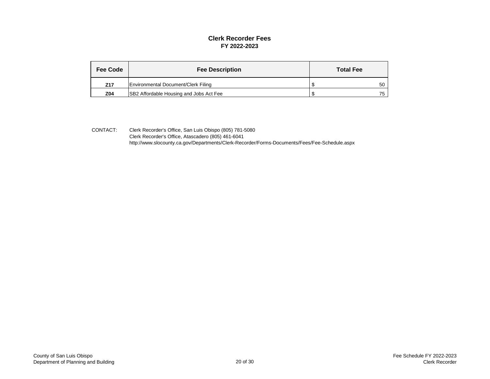#### **Clerk Recorder Fees FY 2022-2023**

| <b>Fee Code</b> | <b>Fee Description</b>                         | <b>Total Fee</b> |    |
|-----------------|------------------------------------------------|------------------|----|
| Z17             | Environmental Document/Clerk Filing            |                  | 50 |
| Z04             | <b>SB2 Affordable Housing and Jobs Act Fee</b> |                  | 75 |

CONTACT: Clerk Recorder's Office, San Luis Obispo (805) 781-5080 Clerk Recorder's Office, Atascadero (805) 461-6041 [http://www.slocounty.ca.gov/Departments/Clerk-Recorder/Forms-Documents/Fees](http://www.slocounty.ca.gov/Departments/Clerk-Recorder/Forms-Documents/Fees/Fee-Schedule.aspx)/Fee-Schedule.aspx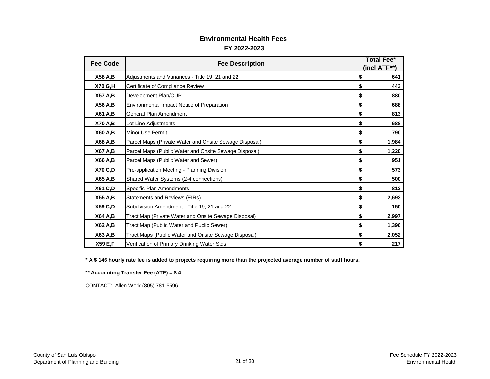#### **Environmental Health Fees**

#### **FY 2022-2023**

| <b>Fee Code</b> |                                                        | <b>Total Fee*</b> |       |  |  |  |
|-----------------|--------------------------------------------------------|-------------------|-------|--|--|--|
|                 | <b>Fee Description</b>                                 |                   |       |  |  |  |
| <b>X58 A,B</b>  | Adjustments and Variances - Title 19, 21 and 22        | \$                | 641   |  |  |  |
| <b>X70 G,H</b>  | Certificate of Compliance Review                       | \$                | 443   |  |  |  |
| <b>X57 A,B</b>  | Development Plan/CUP                                   | \$                | 880   |  |  |  |
| <b>X56 A,B</b>  | Environmental Impact Notice of Preparation             | \$                | 688   |  |  |  |
| <b>X61 A,B</b>  | <b>General Plan Amendment</b>                          | \$                | 813   |  |  |  |
| <b>X70 A,B</b>  | Lot Line Adjustments                                   | \$                | 688   |  |  |  |
| <b>X60 A,B</b>  | Minor Use Permit                                       | \$                | 790   |  |  |  |
| <b>X68 A,B</b>  | Parcel Maps (Private Water and Onsite Sewage Disposal) | \$                | 1,984 |  |  |  |
| <b>X67 A,B</b>  | Parcel Maps (Public Water and Onsite Sewage Disposal)  | \$                | 1,220 |  |  |  |
| <b>X66 A,B</b>  | Parcel Maps (Public Water and Sewer)                   | \$                | 951   |  |  |  |
| <b>X70 C,D</b>  | Pre-application Meeting - Planning Division            | \$                | 573   |  |  |  |
| <b>X65 A,B</b>  | Shared Water Systems (2-4 connections)                 | \$                | 500   |  |  |  |
| <b>X61 C,D</b>  | <b>Specific Plan Amendments</b>                        | \$                | 813   |  |  |  |
| <b>X55 A,B</b>  | <b>Statements and Reviews (EIRs)</b>                   | \$                | 2,693 |  |  |  |
| <b>X59 C,D</b>  | Subdivision Amendment - Title 19, 21 and 22            | \$                | 150   |  |  |  |
| <b>X64 A,B</b>  | Tract Map (Private Water and Onsite Sewage Disposal)   | \$                | 2,997 |  |  |  |
| X62 A,B         | Tract Map (Public Water and Public Sewer)              | \$                | 1,396 |  |  |  |
| X63 A,B         | Tract Maps (Public Water and Onsite Sewage Disposal)   | \$                | 2,052 |  |  |  |
| <b>X59 E,F</b>  | Verification of Primary Drinking Water Stds            | \$                | 217   |  |  |  |

**\* A \$ 146 hourly rate fee is added to projects requiring more than the projected average number of staff hours.**

**\*\* Accounting Transfer Fee (ATF) = \$ 4**

CONTACT: Allen Work (805) 781-5596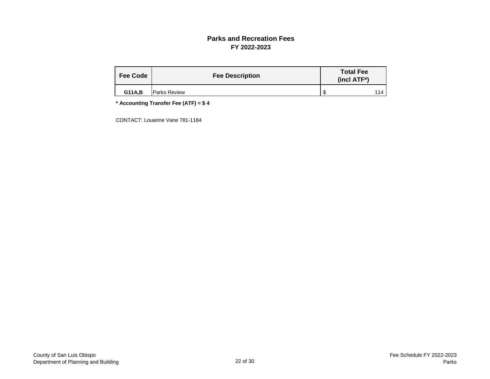#### **Parks and Recreation Fees FY 2022-2023**

| <b>Fee Code</b> | <b>Fee Description</b> | <b>Total Fee</b><br>$(incl ATF*)$ |  |  |  |  |
|-----------------|------------------------|-----------------------------------|--|--|--|--|
| <b>G11A,B</b>   | <b>Parks Review</b>    |                                   |  |  |  |  |

**\* Accounting Transfer Fee (ATF) = \$ 4**

CONTACT: Louanne Vane 781-1184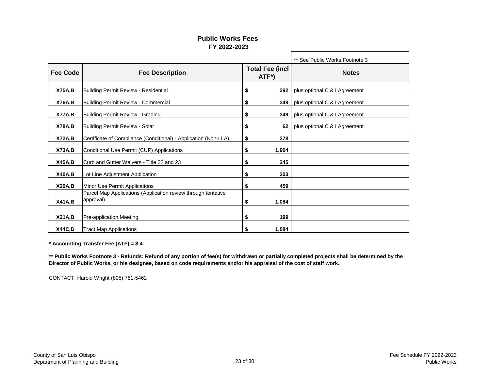#### **Public Works Fees FY 2022-2023**

|                 |                                                                            |                                              |       | ** See Public Works Footnote 3 |
|-----------------|----------------------------------------------------------------------------|----------------------------------------------|-------|--------------------------------|
| <b>Fee Code</b> | <b>Fee Description</b>                                                     | <b>Total Fee (incl</b><br>ATF <sup>*</sup> ) |       | <b>Notes</b>                   |
| <b>X75A,B</b>   | Building Permit Review - Residential                                       | \$                                           | 292   | plus optional C & I Agreement  |
| <b>X76A,B</b>   | Building Permit Review - Commercial                                        | \$                                           | 349   | plus optional C & I Agreement  |
| X77A,B          | <b>Building Permit Review - Grading</b>                                    | \$                                           | 349   | plus optional C & I Agreement  |
| <b>X78A,B</b>   | Building Permit Review - Solar                                             | \$                                           | 62    | plus optional C & I Agreement  |
| <b>X72A,B</b>   | Certificate of Compliance (Conditional) - Application (Non-LLA)            | \$                                           | 278   |                                |
| <b>X73A,B</b>   | Conditional Use Permit (CUP) Applications                                  | \$                                           | 1,904 |                                |
| <b>X45A,B</b>   | Curb and Gutter Waivers - Title 22 and 23                                  | \$                                           | 245   |                                |
| <b>X40A,B</b>   | Lot Line Adjustment Application                                            | \$                                           | 303   |                                |
| <b>X20A,B</b>   | Minor Use Permit Applications                                              | \$                                           | 459   |                                |
| <b>X41A,B</b>   | Parcel Map Applications (Application review through tentative<br>approval) | \$                                           | 1,084 |                                |
| X21A,B          | Pre-application Meeting                                                    | \$                                           | 199   |                                |
| X44C, D         | <b>Tract Map Applications</b>                                              | S                                            | 1,084 |                                |

**\* Accounting Transfer Fee (ATF) = \$ 4**

**\*\* Public Works Footnote 3 - Refunds: Refund of any portion of fee(s) for withdrawn or partially completed projects shall be determined by the Director of Public Works, or his designee, based on code requirements and/or his appraisal of the cost of staff work.**

CONTACT: Harold Wright (805) 781-5462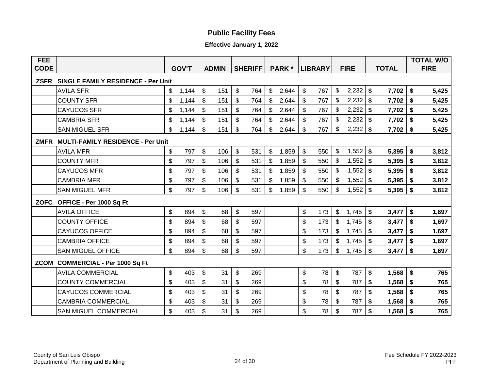## **Public Facility Fees**

#### **Effective January 1, 2022**

| <b>FEE</b>  |                                           |                           |              |                           |              |                           |                |                           |               |                           |                |                           |             |              |                           | <b>TOTAL W/O</b> |
|-------------|-------------------------------------------|---------------------------|--------------|---------------------------|--------------|---------------------------|----------------|---------------------------|---------------|---------------------------|----------------|---------------------------|-------------|--------------|---------------------------|------------------|
| <b>CODE</b> |                                           |                           | <b>GOV'T</b> |                           | <b>ADMIN</b> |                           | <b>SHERIFF</b> |                           | <b>PARK</b> * |                           | <b>LIBRARY</b> |                           | <b>FIRE</b> | <b>TOTAL</b> |                           | <b>FIRE</b>      |
| <b>ZSFR</b> | <b>SINGLE FAMILY RESIDENCE - Per Unit</b> |                           |              |                           |              |                           |                |                           |               |                           |                |                           |             |              |                           |                  |
|             | <b>AVILA SFR</b>                          | \$                        | 1,144        | $\mathfrak{S}$            | 151          | $\mathcal{S}$             | 764            | $\mathfrak{S}$            | 2,644         | $\mathfrak{S}$            | 767            | \$                        | 2,232       | \$<br>7,702  | \$                        | 5,425            |
|             | <b>COUNTY SFR</b>                         | $\mathfrak{L}$            | 1,144        | \$                        | 151          | $\boldsymbol{\mathsf{S}}$ | 764            | $\mathfrak{S}$            | 2,644         | $\$\$                     | 767            | \$                        | 2,232       | \$<br>7,702  | \$                        | 5,425            |
|             | <b>CAYUCOS SFR</b>                        | \$                        | 1,144        | $\mathfrak{F}$            | 151          | $\boldsymbol{\mathsf{S}}$ | 764            | $\boldsymbol{\mathsf{S}}$ | 2,644         | $\boldsymbol{\mathsf{S}}$ | 767            | \$                        | 2,232       | \$<br>7,702  | \$                        | 5,425            |
|             | <b>CAMBRIA SFR</b>                        | \$                        | 1,144        | $\mathfrak{S}$            | 151          | \$                        | 764            | $\mathfrak{S}$            | 2,644         | $\$\$                     | 767            | \$                        | 2,232       | \$<br>7,702  | \$                        | 5,425            |
|             | <b>SAN MIGUEL SFR</b>                     | \$                        | 1,144        | \$                        | 151          | $\boldsymbol{\mathsf{S}}$ | 764            | \$                        | 2,644         | $\$\$                     | 767            | \$                        | 2,232       | \$<br>7,702  | \$                        | 5,425            |
| <b>ZMFR</b> | <b>MULTI-FAMILY RESIDENCE - Per Unit</b>  |                           |              |                           |              |                           |                |                           |               |                           |                |                           |             |              |                           |                  |
|             | <b>AVILA MFR</b>                          | $\boldsymbol{\mathsf{S}}$ | 797          | $\boldsymbol{\mathsf{S}}$ | 106          | $\boldsymbol{\mathsf{S}}$ | 531            | $\boldsymbol{\mathsf{S}}$ | 1,859         | $\boldsymbol{\mathsf{S}}$ | 550            | $\mathfrak{S}$            | 1,552       | \$<br>5,395  | \$                        | 3,812            |
|             | <b>COUNTY MFR</b>                         | $\boldsymbol{\mathsf{S}}$ | 797          | $\boldsymbol{\mathsf{S}}$ | 106          | $\boldsymbol{\mathsf{S}}$ | 531            | \$                        | 1,859         | \$                        | 550            | \$                        | 1,552       | \$<br>5,395  | \$                        | 3,812            |
|             | <b>CAYUCOS MFR</b>                        | \$                        | 797          | \$                        | 106          | \$                        | 531            | \$                        | 1,859         | $\$\$                     | 550            | \$                        | 1,552       | \$<br>5,395  | \$                        | 3,812            |
|             | <b>CAMBRIA MFR</b>                        | $\boldsymbol{\mathsf{S}}$ | 797          | \$                        | 106          | \$                        | 531            | \$                        | 1,859         | \$                        | 550            | $\$\$                     | 1,552       | \$<br>5,395  | \$                        | 3,812            |
|             | <b>SAN MIGUEL MFR</b>                     | \$                        | 797          | \$                        | 106          | \$                        | 531            | \$                        | 1,859         | \$                        | 550            | \$                        | 1,552       | \$<br>5,395  | \$                        | 3,812            |
| <b>ZOFC</b> | OFFICE - Per 1000 Sq Ft                   |                           |              |                           |              |                           |                |                           |               |                           |                |                           |             |              |                           |                  |
|             | <b>AVILA OFFICE</b>                       | $\boldsymbol{\mathsf{S}}$ | 894          | \$                        | 68           | $\boldsymbol{\mathsf{S}}$ | 597            |                           |               | \$                        | 173            | $\$\$                     | 1,745       | \$<br>3,477  | \$                        | 1,697            |
|             | <b>COUNTY OFFICE</b>                      | \$                        | 894          | \$                        | 68           | \$                        | 597            |                           |               | $\boldsymbol{\theta}$     | 173            | \$                        | 1,745       | \$<br>3,477  | \$                        | 1,697            |
|             | <b>CAYUCOS OFFICE</b>                     | \$                        | 894          | $\mathfrak{S}$            | 68           | $\boldsymbol{\mathsf{S}}$ | 597            |                           |               | \$                        | 173            | \$                        | 1,745       | \$<br>3,477  | $\boldsymbol{\mathsf{s}}$ | 1,697            |
|             | <b>CAMBRIA OFFICE</b>                     | $\boldsymbol{\mathsf{S}}$ | 894          | $\$\$                     | 68           | \$                        | 597            |                           |               | \$                        | 173            | $\mathfrak{P}$            | 1,745       | \$<br>3,477  | \$                        | 1,697            |
|             | <b>SAN MIGUEL OFFICE</b>                  | \$                        | 894          | \$                        | 68           | \$                        | 597            |                           |               | \$                        | 173            | \$                        | 1,745       | \$<br>3,477  | \$                        | 1,697            |
| <b>ZCOM</b> | <b>COMMERCIAL - Per 1000 Sq Ft</b>        |                           |              |                           |              |                           |                |                           |               |                           |                |                           |             |              |                           |                  |
|             | <b>AVILA COMMERCIAL</b>                   | $\boldsymbol{\mathsf{S}}$ | 403          | $\mathfrak{S}$            | 31           | $\boldsymbol{\mathsf{S}}$ | 269            |                           |               | \$                        | 78             | $\boldsymbol{\mathsf{S}}$ | 787         | \$<br>1,568  | \$                        | 765              |
|             | <b>COUNTY COMMERCIAL</b>                  | $\mathfrak{S}$            | 403          | $\mathfrak{F}$            | 31           | $\boldsymbol{\mathsf{S}}$ | 269            |                           |               | $\boldsymbol{\mathsf{S}}$ | 78             | $\boldsymbol{\mathsf{S}}$ | 787         | \$<br>1,568  | \$                        | 765              |
|             | <b>CAYUCOS COMMERCIAL</b>                 | $\boldsymbol{\mathsf{S}}$ | 403          | \$                        | 31           | \$                        | 269            |                           |               | \$                        | 78             | \$                        | 787         | \$<br>1,568  | \$                        | 765              |
|             | <b>CAMBRIA COMMERCIAL</b>                 | \$                        | 403          | \$                        | 31           | \$                        | 269            |                           |               | \$                        | 78             | \$                        | 787         | \$<br>1,568  | \$                        | 765              |
|             | <b>SAN MIGUEL COMMERCIAL</b>              | $\mathfrak{D}$            | 403          | $\mathfrak{S}$            | 31           | $\mathbb{S}$              | 269            |                           |               | $\mathfrak{S}$            | 78             | $\mathfrak{S}$            | 787         | \$<br>1,568  | \$                        | 765              |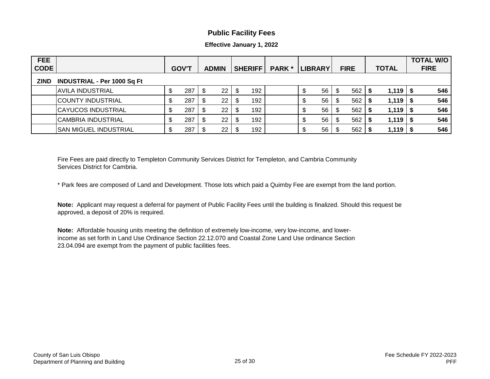#### **Public Facility Fees**

**Effective January 1, 2022**

| <b>FEE</b><br><b>CODE</b> |                                    | <b>GOV'T</b> |     | <b>ADMIN</b> |    | <b>SHERIFF</b> |     | <b>PARK</b> | <b>LIBRARY</b> |    | <b>FIRE</b> |     | <b>TOTAL</b> |       |      | <b>TOTAL W/O</b><br><b>FIRE</b> |
|---------------------------|------------------------------------|--------------|-----|--------------|----|----------------|-----|-------------|----------------|----|-------------|-----|--------------|-------|------|---------------------------------|
| <b>ZIND</b>               | <b>INDUSTRIAL - Per 1000 Sq Ft</b> |              |     |              |    |                |     |             |                |    |             |     |              |       |      |                                 |
|                           | <b>AVILA INDUSTRIAL</b>            |              | 287 |              | 22 |                | 192 |             |                | 56 |             | 562 |              | 1,119 | 'S   | 546                             |
|                           | <b>COUNTY INDUSTRIAL</b>           | \$           | 287 |              | 22 |                | 192 |             | \$             | 56 |             | 562 |              | 1,119 | " \$ | 546                             |
|                           | <b>CAYUCOS INDUSTRIAL</b>          | \$           | 287 | J            | 22 | \$             | 192 |             | \$             | 56 | 8           | 562 |              | 1,119 | l S  | 546                             |
|                           | <b>CAMBRIA INDUSTRIAL</b>          | \$           | 287 |              | 22 | - \$           | 192 |             | \$             | 56 |             | 562 |              | 1,119 |      | 546                             |
|                           | <b>SAN MIGUEL INDUSTRIAL</b>       |              | 287 |              | 22 |                | 192 |             | \$             | 56 |             | 562 |              | 1,119 |      | 546                             |

Fire Fees are paid directly to Templeton Community Services District for Templeton, and Cambria Community Services District for Cambria.

\* Park fees are composed of Land and Development. Those lots which paid a Quimby Fee are exempt from the land portion.

**Note:** Applicant may request a deferral for payment of Public Facility Fees until the building is finalized. Should this request be approved, a deposit of 20% is required.

**Note:** Affordable housing units meeting the definition of extremely low-income, very low-income, and lowerincome as set forth in Land Use Ordinance Section 22.12.070 and Coastal Zone Land Use ordinance Section 23.04.094 are exempt from the payment of public facilities fees.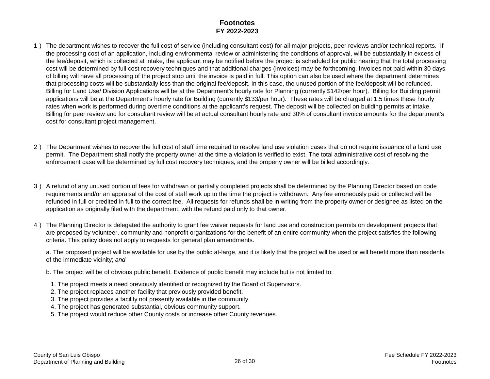#### **Footnotes FY 2022-2023**

- 1 ) The department wishes to recover the full cost of service (including consultant cost) for all major projects, peer reviews and/or technical reports. If the processing cost of an application, including environmental review or administering the conditions of approval, will be substantially in excess of the fee/deposit, which is collected at intake, the applicant may be notified before the project is scheduled for public hearing that the total processing cost will be determined by full cost recovery techniques and that additional charges (invoices) may be forthcoming. Invoices not paid within 30 days of billing will have all processing of the project stop until the invoice is paid in full. This option can also be used where the department determines that processing costs will be substantially less than the original fee/deposit. In this case, the unused portion of the fee/deposit will be refunded. Billing for Land Use/ Division Applications will be at the Department's hourly rate for Planning (currently \$142/per hour). Billing for Building permit applications will be at the Department's hourly rate for Building (currently \$133/per hour). These rates will be charged at 1.5 times these hourly rates when work is performed during overtime conditions at the applicant's request. The deposit will be collected on building permits at intake. Billing for peer review and for consultant review will be at actual consultant hourly rate and 30% of consultant invoice amounts for the department's cost for consultant project management.
- 2 ) The Department wishes to recover the full cost of staff time required to resolve land use violation cases that do not require issuance of a land use permit. The Department shall notify the property owner at the time a violation is verified to exist. The total administrative cost of resolving the enforcement case will be determined by full cost recovery techniques, and the property owner will be billed accordingly.
- 3 ) A refund of any unused portion of fees for withdrawn or partially completed projects shall be determined by the Planning Director based on code requirements and/or an appraisal of the cost of staff work up to the time the project is withdrawn. Any fee erroneously paid or collected will be refunded in full or credited in full to the correct fee. All requests for refunds shall be in writing from the property owner or designee as listed on the application as originally filed with the department, with the refund paid only to that owner.
- 4 ) The Planning Director is delegated the authority to grant fee waiver requests for land use and construction permits on development projects that are proposed by volunteer, community and nonprofit organizations for the benefit of an entire community when the project satisfies the following criteria. This policy does not apply to requests for general plan amendments.

a. The proposed project will be available for use by the public at-large, and it is likely that the project will be used or will benefit more than residents of the immediate vicinity; *and*

- b. The project will be of obvious public benefit. Evidence of public benefit may include but is not limited to:
- 1. The project meets a need previously identified or recognized by the Board of Supervisors.
- 2. The project replaces another facility that previously provided benefit.
- 3. The project provides a facility not presently available in the community.
- 4. The project has generated substantial, obvious community support.
- 5. The project would reduce other County costs or increase other County revenues.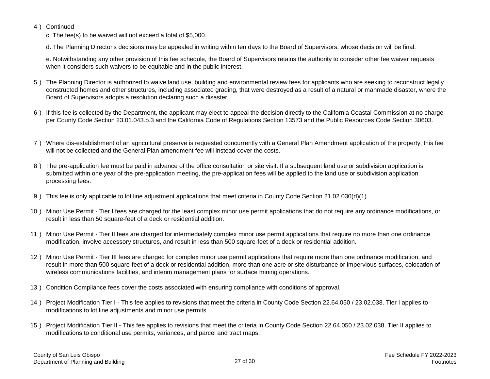#### 4 ) Continued

c. The fee(s) to be waived will not exceed a total of \$5,000.

d. The Planning Director's decisions may be appealed in writing within ten days to the Board of Supervisors, whose decision will be final.

e. Notwithstanding any other provision of this fee schedule, the Board of Supervisors retains the authority to consider other fee waiver requests when it considers such waivers to be equitable and in the public interest.

- 5 ) The Planning Director is authorized to waive land use, building and environmental review fees for applicants who are seeking to reconstruct legally constructed homes and other structures, including associated grading, that were destroyed as a result of a natural or manmade disaster, where the Board of Supervisors adopts a resolution declaring such a disaster.
- 6 ) If this fee is collected by the Department, the applicant may elect to appeal the decision directly to the California Coastal Commission at no charge per County Code Section 23.01.043.b.3 and the California Code of Regulations Section 13573 and the Public Resources Code Section 30603.
- 7 ) Where dis-establishment of an agricultural preserve is requested concurrently with a General Plan Amendment application of the property, this fee will not be collected and the General Plan amendment fee will instead cover the costs.
- 8 ) The pre-application fee must be paid in advance of the office consultation or site visit. If a subsequent land use or subdivision application is submitted within one year of the pre-application meeting, the pre-application fees will be applied to the land use or subdivision application processing fees.
- 9 ) This fee is only applicable to lot line adjustment applications that meet criteria in County Code Section 21.02.030(d)(1).
- 10 ) Minor Use Permit Tier I fees are charged for the least complex minor use permit applications that do not require any ordinance modifications, or result in less than 50 square-feet of a deck or residential addition.
- 11 ) Minor Use Permit Tier II fees are charged for intermediately complex minor use permit applications that require no more than one ordinance modification, involve accessory structures, and result in less than 500 square-feet of a deck or residential addition.
- 12 ) Minor Use Permit Tier III fees are charged for complex minor use permit applications that require more than one ordinance modification, and result in more than 500 square-feet of a deck or residential addition, more than one acre or site disturbance or impervious surfaces, colocation of wireless communications facilities, and interim management plans for surface mining operations.
- 13 ) Condition Compliance fees cover the costs associated with ensuring compliance with conditions of approval.
- 14 ) Project Modification Tier I This fee applies to revisions that meet the criteria in County Code Section 22.64.050 / 23.02.038. Tier I applies to modifications to lot line adjustments and minor use permits.
- 15 ) Project Modification Tier II This fee applies to revisions that meet the criteria in County Code Section 22.64.050 / 23.02.038. Tier II applies to modifications to conditional use permits, variances, and parcel and tract maps.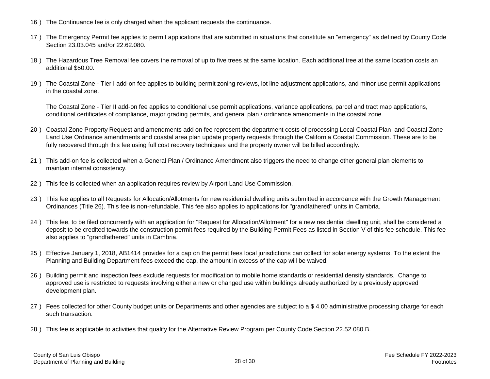- 16 ) The Continuance fee is only charged when the applicant requests the continuance.
- 17 ) The Emergency Permit fee applies to permit applications that are submitted in situations that constitute an "emergency" as defined by County Code Section 23.03.045 and/or 22.62.080.
- 18 ) The Hazardous Tree Removal fee covers the removal of up to five trees at the same location. Each additional tree at the same location costs an additional \$50.00.
- 19 ) The Coastal Zone Tier I add-on fee applies to building permit zoning reviews, lot line adjustment applications, and minor use permit applications in the coastal zone.

The Coastal Zone - Tier II add-on fee applies to conditional use permit applications, variance applications, parcel and tract map applications, conditional certificates of compliance, major grading permits, and general plan / ordinance amendments in the coastal zone.

- 20 ) Coastal Zone Property Request and amendments add on fee represent the department costs of processing Local Coastal Plan and Coastal Zone Land Use Ordinance amendments and coastal area plan update property requests through the California Coastal Commission. These are to be fully recovered through this fee using full cost recovery techniques and the property owner will be billed accordingly.
- 21 ) This add-on fee is collected when a General Plan / Ordinance Amendment also triggers the need to change other general plan elements to maintain internal consistency.
- 22 ) This fee is collected when an application requires review by Airport Land Use Commission.
- 23 ) This fee applies to all Requests for Allocation/Allotments for new residential dwelling units submitted in accordance with the Growth Management Ordinances (Title 26). This fee is non-refundable. This fee also applies to applications for "grandfathered" units in Cambria.
- 24 ) This fee, to be filed concurrently with an application for "Request for Allocation/Allotment" for a new residential dwelling unit, shall be considered a deposit to be credited towards the construction permit fees required by the Building Permit Fees as listed in Section V of this fee schedule. This fee also applies to "grandfathered" units in Cambria.
- 25 ) Effective January 1, 2018, AB1414 provides for a cap on the permit fees local jurisdictions can collect for solar energy systems. To the extent the Planning and Building Department fees exceed the cap, the amount in excess of the cap will be waived.
- 26 ) Building permit and inspection fees exclude requests for modification to mobile home standards or residential density standards. Change to approved use is restricted to requests involving either a new or changed use within buildings already authorized by a previously approved development plan.
- 27) Fees collected for other County budget units or Departments and other agencies are subject to a \$4.00 administrative processing charge for each such transaction.
- 28 ) This fee is applicable to activities that qualify for the Alternative Review Program per County Code Section 22.52.080.B.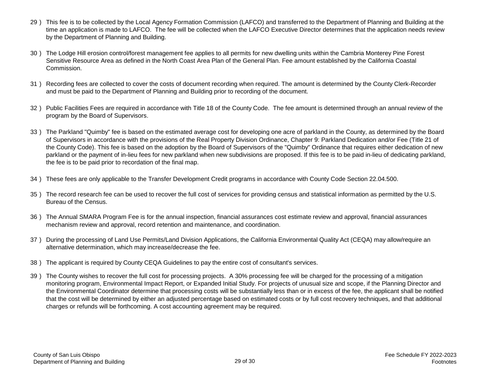- 29 ) This fee is to be collected by the Local Agency Formation Commission (LAFCO) and transferred to the Department of Planning and Building at the time an application is made to LAFCO. The fee will be collected when the LAFCO Executive Director determines that the application needs review by the Department of Planning and Building.
- 30 ) The Lodge Hill erosion control/forest management fee applies to all permits for new dwelling units within the Cambria Monterey Pine Forest Sensitive Resource Area as defined in the North Coast Area Plan of the General Plan. Fee amount established by the California Coastal Commission.
- 31 ) Recording fees are collected to cover the costs of document recording when required. The amount is determined by the County Clerk-Recorder and must be paid to the Department of Planning and Building prior to recording of the document.
- 32 ) Public Facilities Fees are required in accordance with Title 18 of the County Code. The fee amount is determined through an annual review of the program by the Board of Supervisors.
- 33 ) The Parkland "Quimby" fee is based on the estimated average cost for developing one acre of parkland in the County, as determined by the Board of Supervisors in accordance with the provisions of the Real Property Division Ordinance, Chapter 9: Parkland Dedication and/or Fee (Title 21 of the County Code). This fee is based on the adoption by the Board of Supervisors of the "Quimby" Ordinance that requires either dedication of new parkland or the payment of in-lieu fees for new parkland when new subdivisions are proposed. If this fee is to be paid in-lieu of dedicating parkland, the fee is to be paid prior to recordation of the final map.
- 34 ) These fees are only applicable to the Transfer Development Credit programs in accordance with County Code Section 22.04.500.
- 35 ) The record research fee can be used to recover the full cost of services for providing census and statistical information as permitted by the U.S. Bureau of the Census.
- 36 ) The Annual SMARA Program Fee is for the annual inspection, financial assurances cost estimate review and approval, financial assurances mechanism review and approval, record retention and maintenance, and coordination.
- 37 ) During the processing of Land Use Permits/Land Division Applications, the California Environmental Quality Act (CEQA) may allow/require an alternative determination, which may increase/decrease the fee.
- 38 ) The applicant is required by County CEQA Guidelines to pay the entire cost of consultant's services.
- 39 ) The County wishes to recover the full cost for processing projects. A 30% processing fee will be charged for the processing of a mitigation monitoring program, Environmental Impact Report, or Expanded Initial Study. For projects of unusual size and scope, if the Planning Director and the Environmental Coordinator determine that processing costs will be substantially less than or in excess of the fee, the applicant shall be notified that the cost will be determined by either an adjusted percentage based on estimated costs or by full cost recovery techniques, and that additional charges or refunds will be forthcoming. A cost accounting agreement may be required.